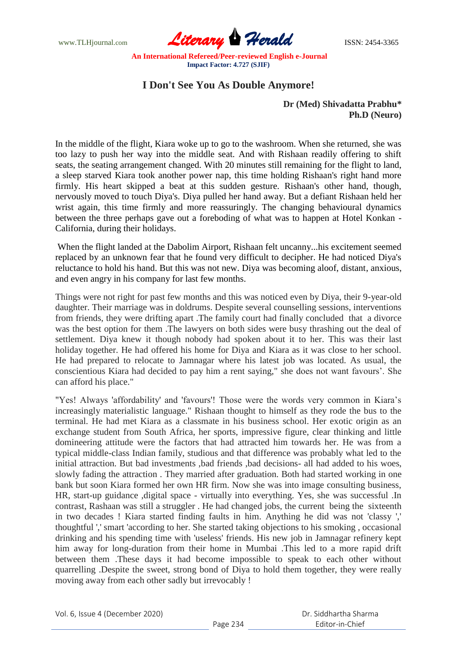www.TLHjournal.com **Literary Herald Herald ISSN: 2454-3365** 

## **I Don't See You As Double Anymore!**

**Dr (Med) Shivadatta Prabhu\* Ph.D (Neuro)**

In the middle of the flight, Kiara woke up to go to the washroom. When she returned, she was too lazy to push her way into the middle seat. And with Rishaan readily offering to shift seats, the seating arrangement changed. With 20 minutes still remaining for the flight to land, a sleep starved Kiara took another power nap, this time holding Rishaan's right hand more firmly. His heart skipped a beat at this sudden gesture. Rishaan's other hand, though, nervously moved to touch Diya's. Diya pulled her hand away. But a defiant Rishaan held her wrist again, this time firmly and more reassuringly. The changing behavioural dynamics between the three perhaps gave out a foreboding of what was to happen at Hotel Konkan - California, during their holidays.

When the flight landed at the Dabolim Airport, Rishaan felt uncanny...his excitement seemed replaced by an unknown fear that he found very difficult to decipher. He had noticed Diya's reluctance to hold his hand. But this was not new. Diya was becoming aloof, distant, anxious, and even angry in his company for last few months.

Things were not right for past few months and this was noticed even by Diya, their 9-year-old daughter. Their marriage was in doldrums. Despite several counselling sessions, interventions from friends, they were drifting apart .The family court had finally concluded that a divorce was the best option for them .The lawyers on both sides were busy thrashing out the deal of settlement. Diya knew it though nobody had spoken about it to her. This was their last holiday together. He had offered his home for Diya and Kiara as it was close to her school. He had prepared to relocate to Jamnagar where his latest job was located. As usual, the conscientious Kiara had decided to pay him a rent saying," she does not want favours'. She can afford his place."

"Yes! Always 'affordability' and 'favours'! Those were the words very common in Kiara's increasingly materialistic language." Rishaan thought to himself as they rode the bus to the terminal. He had met Kiara as a classmate in his business school. Her exotic origin as an exchange student from South Africa, her sports, impressive figure, clear thinking and little domineering attitude were the factors that had attracted him towards her. He was from a typical middle-class Indian family, studious and that difference was probably what led to the initial attraction. But bad investments ,bad friends ,bad decisions- all had added to his woes, slowly fading the attraction . They married after graduation. Both had started working in one bank but soon Kiara formed her own HR firm. Now she was into image consulting business, HR, start-up guidance ,digital space - virtually into everything. Yes, she was successful .In contrast, Rashaan was still a struggler . He had changed jobs, the current being the sixteenth in two decades ! Kiara started finding faults in him. Anything he did was not 'classy ',' thoughtful ',' smart 'according to her. She started taking objections to his smoking , occasional drinking and his spending time with 'useless' friends. His new job in Jamnagar refinery kept him away for long-duration from their home in Mumbai .This led to a more rapid drift between them .These days it had become impossible to speak to each other without quarrelling .Despite the sweet, strong bond of Diya to hold them together, they were really moving away from each other sadly but irrevocably !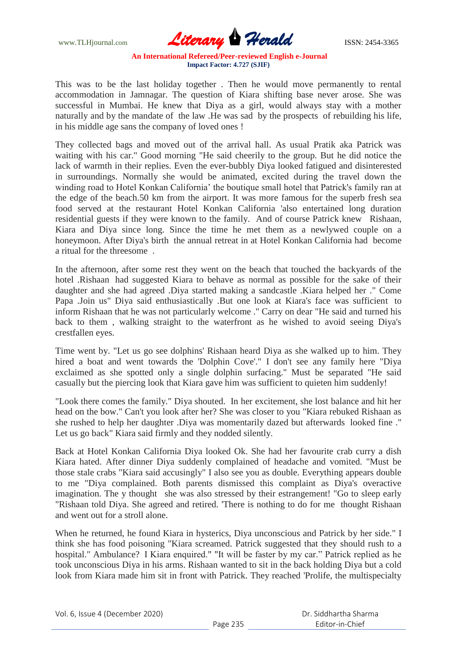www.TLHjournal.com **Literary Herald Herald ISSN: 2454-3365** 

This was to be the last holiday together . Then he would move permanently to rental accommodation in Jamnagar. The question of Kiara shifting base never arose. She was successful in Mumbai. He knew that Diya as a girl, would always stay with a mother naturally and by the mandate of the law .He was sad by the prospects of rebuilding his life, in his middle age sans the company of loved ones !

They collected bags and moved out of the arrival hall. As usual Pratik aka Patrick was waiting with his car." Good morning "He said cheerily to the group. But he did notice the lack of warmth in their replies. Even the ever-bubbly Diya looked fatigued and disinterested in surroundings. Normally she would be animated, excited during the travel down the winding road to Hotel Konkan California' the boutique small hotel that Patrick's family ran at the edge of the beach.50 km from the airport. It was more famous for the superb fresh sea food served at the restaurant Hotel Konkan California 'also entertained long duration residential guests if they were known to the family. And of course Patrick knew Rishaan, Kiara and Diya since long. Since the time he met them as a newlywed couple on a honeymoon. After Diya's birth the annual retreat in at Hotel Konkan California had become a ritual for the threesome .

In the afternoon, after some rest they went on the beach that touched the backyards of the hotel .Rishaan had suggested Kiara to behave as normal as possible for the sake of their daughter and she had agreed .Diya started making a sandcastle .Kiara helped her ." Come Papa .Join us" Diya said enthusiastically .But one look at Kiara's face was sufficient to inform Rishaan that he was not particularly welcome ." Carry on dear "He said and turned his back to them , walking straight to the waterfront as he wished to avoid seeing Diya's crestfallen eyes.

Time went by. "Let us go see dolphins' Rishaan heard Diya as she walked up to him. They hired a boat and went towards the 'Dolphin Cove'." I don't see any family here "Diya exclaimed as she spotted only a single dolphin surfacing." Must be separated "He said casually but the piercing look that Kiara gave him was sufficient to quieten him suddenly!

"Look there comes the family." Diya shouted. In her excitement, she lost balance and hit her head on the bow." Can't you look after her? She was closer to you "Kiara rebuked Rishaan as she rushed to help her daughter .Diya was momentarily dazed but afterwards looked fine ." Let us go back" Kiara said firmly and they nodded silently.

Back at Hotel Konkan California Diya looked Ok. She had her favourite crab curry a dish Kiara hated. After dinner Diya suddenly complained of headache and vomited. "Must be those stale crabs "Kiara said accusingly" I also see you as double. Everything appears double to me "Diya complained. Both parents dismissed this complaint as Diya's overactive imagination. The y thought she was also stressed by their estrangement! "Go to sleep early "Rishaan told Diya. She agreed and retired. 'There is nothing to do for me thought Rishaan and went out for a stroll alone.

When he returned, he found Kiara in hysterics, Diya unconscious and Patrick by her side." I think she has food poisoning "Kiara screamed. Patrick suggested that they should rush to a hospital." Ambulance? I Kiara enquired." "It will be faster by my car." Patrick replied as he took unconscious Diya in his arms. Rishaan wanted to sit in the back holding Diya but a cold look from Kiara made him sit in front with Patrick. They reached 'Prolife, the multispecialty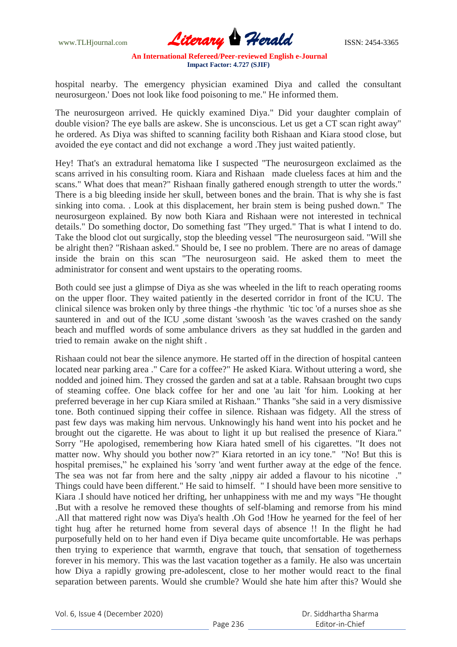www.TLHjournal.com **Literary Herald Herald ISSN: 2454-3365** 

hospital nearby. The emergency physician examined Diya and called the consultant neurosurgeon.' Does not look like food poisoning to me." He informed them.

The neurosurgeon arrived. He quickly examined Diya." Did your daughter complain of double vision? The eye balls are askew. She is unconscious. Let us get a CT scan right away" he ordered. As Diya was shifted to scanning facility both Rishaan and Kiara stood close, but avoided the eye contact and did not exchange a word .They just waited patiently.

Hey! That's an extradural hematoma like I suspected "The neurosurgeon exclaimed as the scans arrived in his consulting room. Kiara and Rishaan made clueless faces at him and the scans." What does that mean?" Rishaan finally gathered enough strength to utter the words." There is a big bleeding inside her skull, between bones and the brain. That is why she is fast sinking into coma. . Look at this displacement, her brain stem is being pushed down." The neurosurgeon explained. By now both Kiara and Rishaan were not interested in technical details." Do something doctor, Do something fast "They urged." That is what I intend to do. Take the blood clot out surgically, stop the bleeding vessel "The neurosurgeon said. "Will she be alright then? "Rishaan asked." Should be, I see no problem. There are no areas of damage inside the brain on this scan "The neurosurgeon said. He asked them to meet the administrator for consent and went upstairs to the operating rooms.

Both could see just a glimpse of Diya as she was wheeled in the lift to reach operating rooms on the upper floor. They waited patiently in the deserted corridor in front of the ICU. The clinical silence was broken only by three things -the rhythmic 'tic toc 'of a nurses shoe as she sauntered in and out of the ICU ,some distant 'swoosh 'as the waves crashed on the sandy beach and muffled words of some ambulance drivers as they sat huddled in the garden and tried to remain awake on the night shift .

Rishaan could not bear the silence anymore. He started off in the direction of hospital canteen located near parking area ." Care for a coffee?" He asked Kiara. Without uttering a word, she nodded and joined him. They crossed the garden and sat at a table. Rahsaan brought two cups of steaming coffee. One black coffee for her and one 'au lait 'for him. Looking at her preferred beverage in her cup Kiara smiled at Rishaan." Thanks "she said in a very dismissive tone. Both continued sipping their coffee in silence. Rishaan was fidgety. All the stress of past few days was making him nervous. Unknowingly his hand went into his pocket and he brought out the cigarette. He was about to light it up but realised the presence of Kiara." Sorry "He apologised, remembering how Kiara hated smell of his cigarettes. "It does not matter now. Why should you bother now?" Kiara retorted in an icy tone." "No! But this is hospital premises," he explained his 'sorry 'and went further away at the edge of the fence. The sea was not far from here and the salty ,nippy air added a flavour to his nicotine ." Things could have been different." He said to himself. " I should have been more sensitive to Kiara .I should have noticed her drifting, her unhappiness with me and my ways "He thought .But with a resolve he removed these thoughts of self-blaming and remorse from his mind .All that mattered right now was Diya's health .Oh God !How he yearned for the feel of her tight hug after he returned home from several days of absence !! In the flight he had purposefully held on to her hand even if Diya became quite uncomfortable. He was perhaps then trying to experience that warmth, engrave that touch, that sensation of togetherness forever in his memory. This was the last vacation together as a family. He also was uncertain how Diya a rapidly growing pre-adolescent, close to her mother would react to the final separation between parents. Would she crumble? Would she hate him after this? Would she